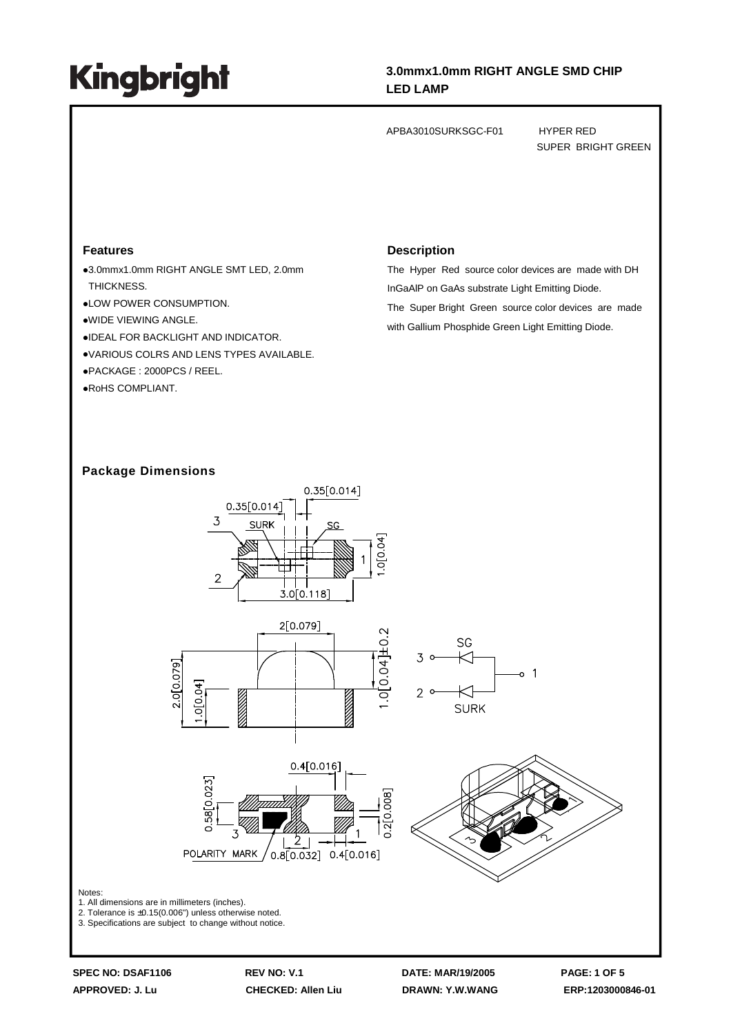### **3.0mmx1.0mm RIGHT ANGLE SMD CHIP LED LAMP**

APBA3010SURKSGC-F01 HYPER RED

SUPER BRIGHT GREEN

#### **Features**

3.0mmx1.0mm RIGHT ANGLE SMT LED, 2.0mm THICKNESS.

LOW POWER CONSUMPTION.

- WIDE VIEWING ANGLE.
- IDEAL FOR BACKLIGHT AND INDICATOR.
- VARIOUS COLRS AND LENS TYPES AVAILABLE.

PACKAGE : 2000PCS / REEL.

RoHS COMPLIANT.

#### **Description**

The Hyper Red source color devices are made with DH InGaAlP on GaAs substrate Light Emitting Diode. The Super Bright Green source color devices are made with Gallium Phosphide Green Light Emitting Diode.

#### **Package Dimensions**



**APPROVED: J. Lu CHECKED: Allen Liu DRAWN: Y.W.WANG ERP:1203000846-01**

**SPEC NO: DSAF1106 REV NO: V.1 DATE: MAR/19/2005 PAGE: 1 OF 5**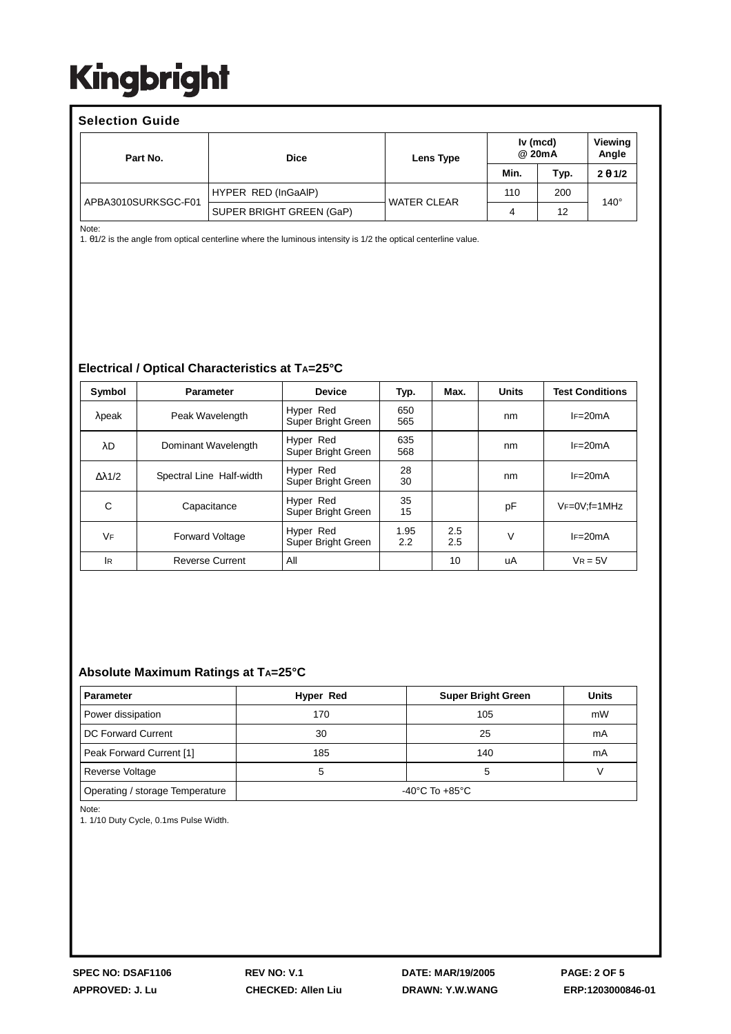| <b>Selection Guide</b> |                     |                          |                    |                    |      |                  |  |  |  |
|------------------------|---------------------|--------------------------|--------------------|--------------------|------|------------------|--|--|--|
|                        | Part No.            | <b>Dice</b>              | Lens Type          | Iv (mcd)<br>@ 20mA |      | Viewing<br>Angle |  |  |  |
|                        |                     |                          |                    | Min.               | Typ. | $2 \theta 1/2$   |  |  |  |
|                        | APBA3010SURKSGC-F01 | HYPER RED (InGaAIP)      | <b>WATER CLEAR</b> | 110                | 200  | $140^\circ$      |  |  |  |
|                        |                     | SUPER BRIGHT GREEN (GaP) |                    | 4                  | 12   |                  |  |  |  |

Note:

1. θ1/2 is the angle from optical centerline where the luminous intensity is 1/2 the optical centerline value.

#### **Electrical / Optical Characteristics at TA=25°C**

| Symbol               | <b>Parameter</b>         | <b>Device</b>                   | Typ.        | Max.       | <b>Units</b> | <b>Test Conditions</b> |  |
|----------------------|--------------------------|---------------------------------|-------------|------------|--------------|------------------------|--|
| $\lambda$ peak       | Peak Wavelength          | Hyper Red<br>Super Bright Green | 650<br>565  |            | nm           | $IF=20mA$              |  |
| λD                   | Dominant Wavelength      | Hyper Red<br>Super Bright Green | 635<br>568  |            | nm           | $IF=20mA$              |  |
| $\Delta \lambda$ 1/2 | Spectral Line Half-width | Hyper Red<br>Super Bright Green | 28<br>30    |            | nm           | $IF=20mA$              |  |
| C                    | Capacitance              | Hyper Red<br>Super Bright Green | 35<br>15    |            | pF           | $VF=0V$ : $f=1MHz$     |  |
| <b>VF</b>            | <b>Forward Voltage</b>   | Hyper Red<br>Super Bright Green | 1.95<br>2.2 | 2.5<br>2.5 | v            | $IF=20mA$              |  |
| lR.                  | <b>Reverse Current</b>   | All                             |             | 10         | uA           | $V_R = 5V$             |  |

#### **Absolute Maximum Ratings at TA=25°C**

| <b>Parameter</b>                | Hyper Red<br><b>Super Bright Green</b> |     | <b>Units</b> |  |  |
|---------------------------------|----------------------------------------|-----|--------------|--|--|
| Power dissipation               | 170                                    | 105 | mW           |  |  |
| DC Forward Current              | 30                                     | 25  | mA           |  |  |
| Peak Forward Current [1]        | 185                                    | 140 | mA           |  |  |
| <b>Reverse Voltage</b>          | 5                                      | b   |              |  |  |
| Operating / storage Temperature | -40°C To +85°C                         |     |              |  |  |

Note:

1. 1/10 Duty Cycle, 0.1ms Pulse Width.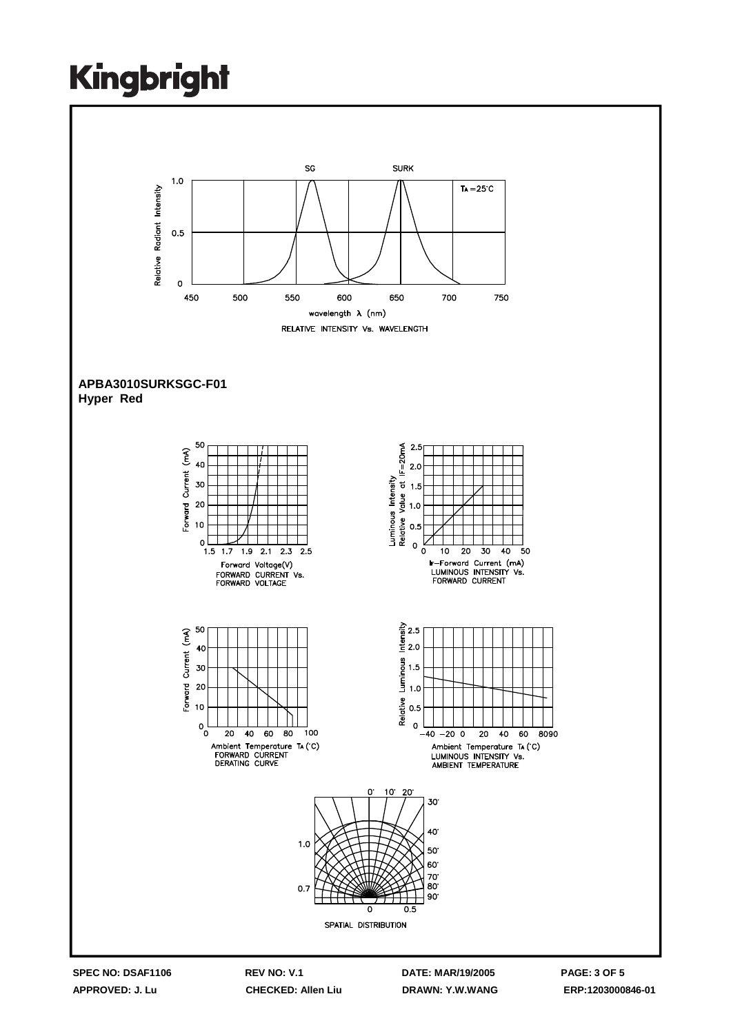

**APPROVED: J. Lu CHECKED: Allen Liu DRAWN: Y.W.WANG ERP:1203000846-01**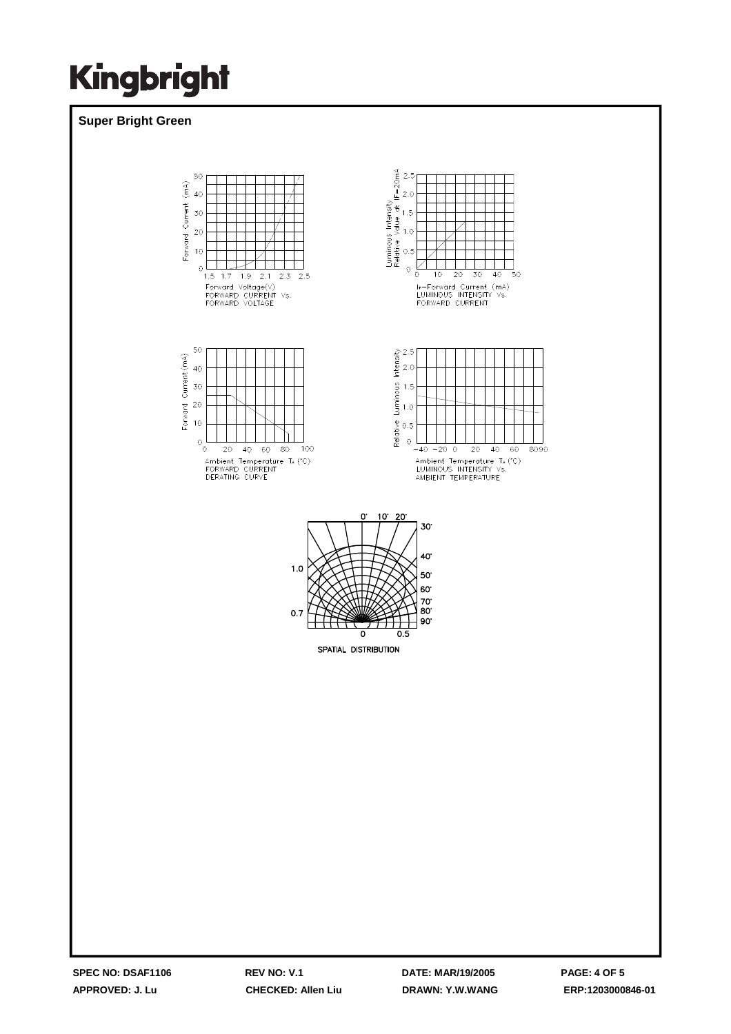### **Super Bright Green**

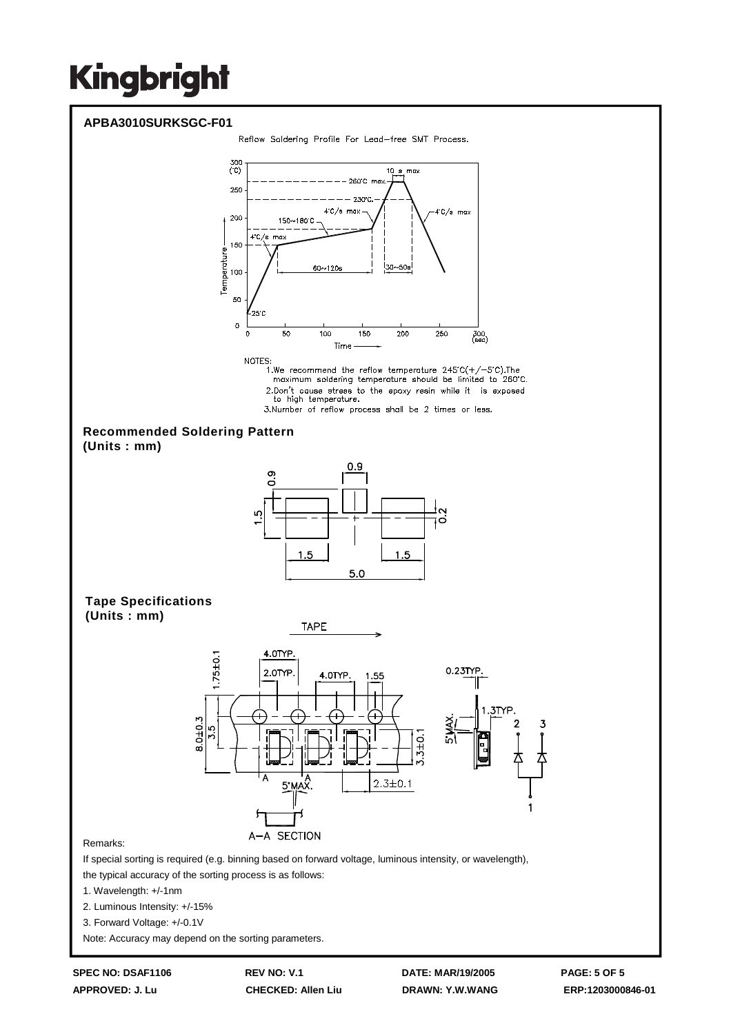

3. Forward Voltage: +/-0.1V

Note: Accuracy may depend on the sorting parameters.

**APPROVED: J. Lu CHECKED: Allen Liu DRAWN: Y.W.WANG ERP:1203000846-01**